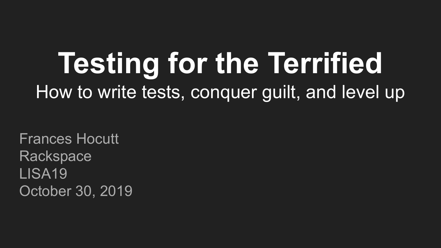# **Testing for the Terrified** How to write tests, conquer guilt, and level up

Frances Hocutt Rackspace LISA19 October 30, 2019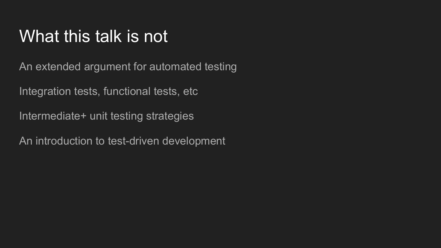### What this talk is not

An extended argument for automated testing

Integration tests, functional tests, etc

Intermediate+ unit testing strategies

An introduction to test-driven development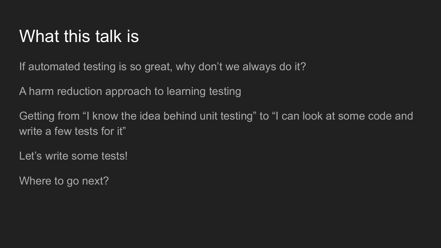### What this talk is

If automated testing is so great, why don't we always do it?

A harm reduction approach to learning testing

Getting from "I know the idea behind unit testing" to "I can look at some code and write a few tests for it"

Let's write some tests!

Where to go next?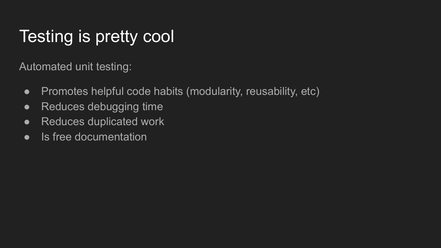# Testing is pretty cool

Automated unit testing:

- Promotes helpful code habits (modularity, reusability, etc)
- Reduces debugging time
- Reduces duplicated work
- Is free documentation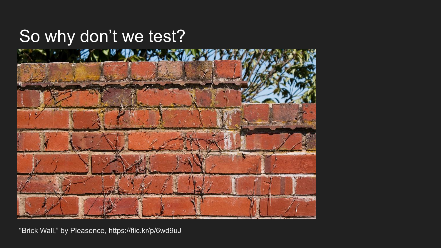### So why don't we test?



"Brick Wall," by Pleasence, https://flic.kr/p/6wd9uJ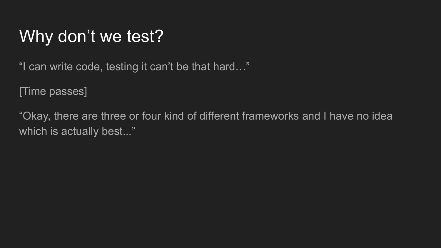"I can write code, testing it can't be that hard…"

[Time passes]

"Okay, there are three or four kind of different frameworks and I have no idea which is actually best..."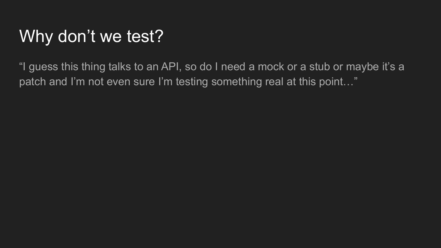"I guess this thing talks to an API, so do I need a mock or a stub or maybe it's a patch and I'm not even sure I'm testing something real at this point..."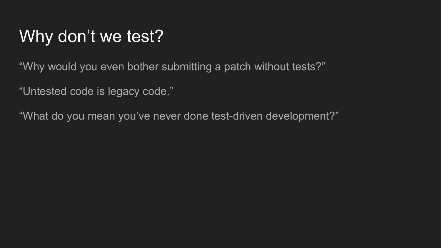"Why would you even bother submitting a patch without tests?"

"Untested code is legacy code."

"What do you mean you've never done test-driven development?"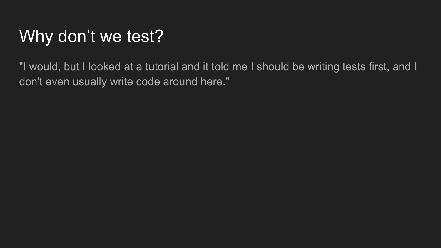"I would, but I looked at a tutorial and it told me I should be writing tests first, and I don't even usually write code around here."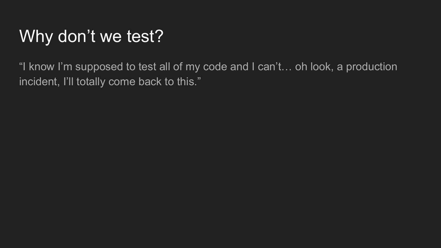"I know I'm supposed to test all of my code and I can't… oh look, a production incident, I'll totally come back to this."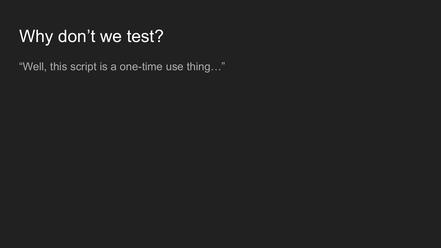"Well, this script is a one-time use thing…"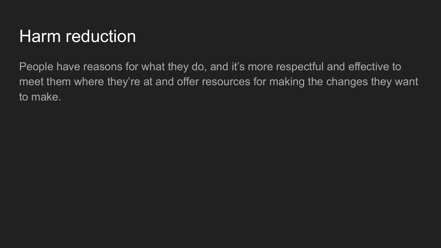### Harm reduction

People have reasons for what they do, and it's more respectful and effective to meet them where they're at and offer resources for making the changes they want to make.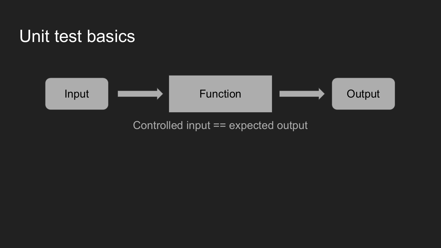#### Unit test basics



Controlled input == expected output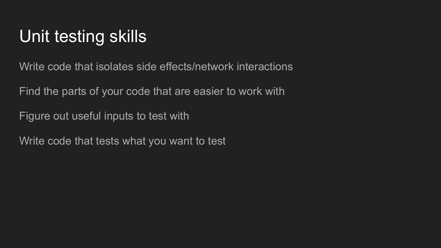## Unit testing skills

Write code that isolates side effects/network interactions

Find the parts of your code that are easier to work with

Figure out useful inputs to test with

Write code that tests what you want to test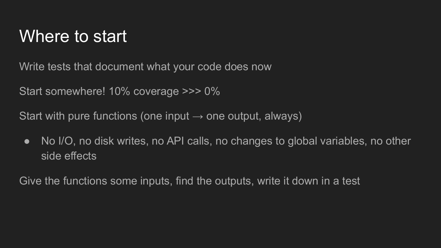### Where to start

Write tests that document what your code does now

Start somewhere! 10% coverage >>> 0%

Start with pure functions (one input  $\rightarrow$  one output, always)

• No I/O, no disk writes, no API calls, no changes to global variables, no other side effects

Give the functions some inputs, find the outputs, write it down in a test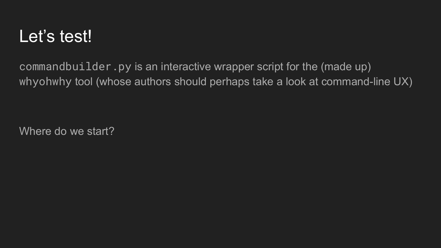### Let's test!

commandbuilder.py is an interactive wrapper script for the (made up) whyohwhy tool (whose authors should perhaps take a look at command-line UX)

Where do we start?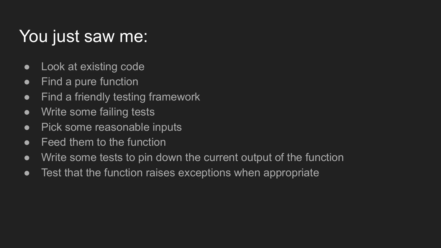## You just saw me:

- Look at existing code
- Find a pure function
- Find a friendly testing framework
- Write some failing tests
- Pick some reasonable inputs
- Feed them to the function
- Write some tests to pin down the current output of the function
- Test that the function raises exceptions when appropriate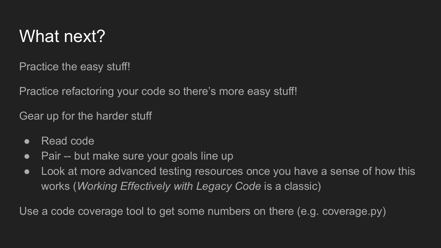### What next?

Practice the easy stuff!

Practice refactoring your code so there's more easy stuff!

Gear up for the harder stuff

- Read code
- Pair -- but make sure your goals line up
- Look at more advanced testing resources once you have a sense of how this works (*Working Effectively with Legacy Code* is a classic)

Use a code coverage tool to get some numbers on there (e.g. coverage.py)